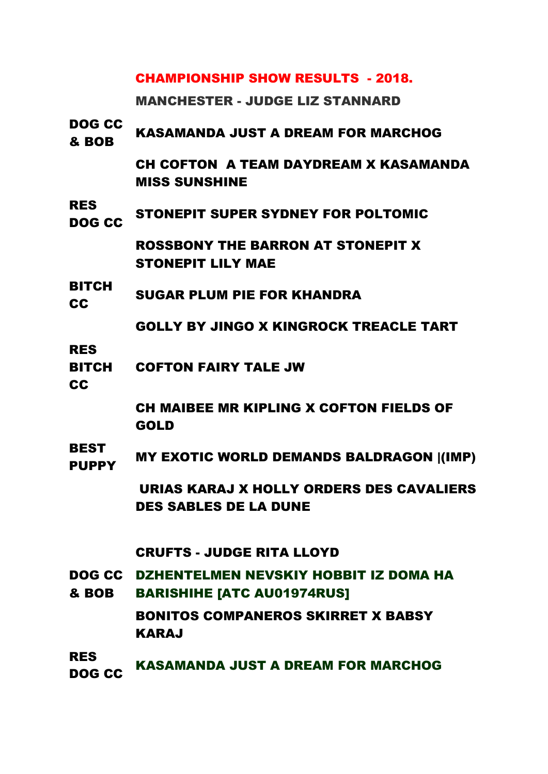## CHAMPIONSHIP SHOW RESULTS - 2018.

MANCHESTER - JUDGE LIZ STANNARD

| <b>DOG CC</b><br>& BOB                  | KASAMANDA JUST A DREAM FOR MARCHOG                                                |
|-----------------------------------------|-----------------------------------------------------------------------------------|
|                                         | <b>CH COFTON A TEAM DAYDREAM X KASAMANDA</b><br><b>MISS SUNSHINE</b>              |
| <b>RES</b><br>DOG CC                    | STONEPIT SUPER SYDNEY FOR POLTOMIC                                                |
|                                         | <b>ROSSBONY THE BARRON AT STONEPIT X</b><br><b>STONEPIT LILY MAE</b>              |
| <b>BITCH</b><br><b>CC</b>               | <b>SUGAR PLUM PIE FOR KHANDRA</b>                                                 |
|                                         | <b>GOLLY BY JINGO X KINGROCK TREACLE TART</b>                                     |
| <b>RES</b><br><b>BITCH</b><br><b>CC</b> | <b>COFTON FAIRY TALE JW</b>                                                       |
|                                         | CH MAIBEE MR KIPLING X COFTON FIELDS OF<br><b>GOLD</b>                            |
| <b>BEST</b><br><b>PUPPY</b>             | <b>MY EXOTIC WORLD DEMANDS BALDRAGON (IMP)</b>                                    |
|                                         | URIAS KARAJ X HOLLY ORDERS DES CAVALIERS<br><b>DES SABLES DE LA DUNE</b>          |
|                                         | <b>CRUFTS - JUDGE RITA LLOYD</b>                                                  |
| & BOB                                   | DOG CC DZHENTELMEN NEVSKIY HOBBIT IZ DOMA HA<br><b>BARISHIHE [ATC AU01974RUS]</b> |
|                                         | <b>BONITOS COMPANEROS SKIRRET X BABSY</b><br><b>KARAJ</b>                         |
| <b>RES</b><br><b>DOG CC</b>             | KASAMANDA JUST A DREAM FOR MARCHOG                                                |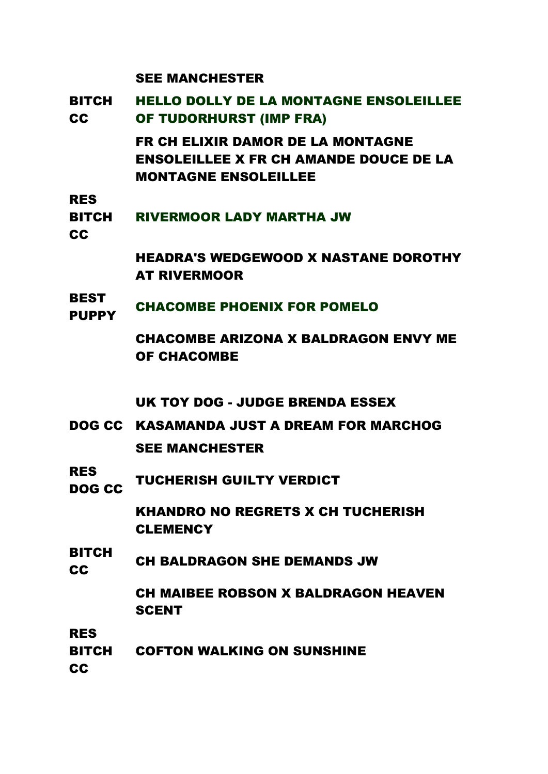#### SEE MANCHESTER

- BITCH CC HELLO DOLLY DE LA MONTAGNE ENSOLEILLEE OF TUDORHURST (IMP FRA) FR CH ELIXIR DAMOR DE LA MONTAGNE ENSOLEILLEE X FR CH AMANDE DOUCE DE LA MONTAGNE ENSOLEILLEE
- RES
- BITCH RIVERMOOR LADY MARTHA JW
- **CC**

HEADRA'S WEDGEWOOD X NASTANE DOROTHY AT RIVERMOOR

**BEST** PUPPY CHACOMBE PHOENIX FOR POMELO

> CHACOMBE ARIZONA X BALDRAGON ENVY ME OF CHACOMBE

UK TOY DOG - JUDGE BRENDA ESSEX

- DOG CC KASAMANDA JUST A DREAM FOR MARCHOG SEE MANCHESTER
- RES NES CC TUCHERISH GUILTY VERDICT

KHANDRO NO REGRETS X CH TUCHERISH **CLEMENCY** 

BITCH **COULD CH BALDRAGON SHE DEMANDS JW** 

> CH MAIBEE ROBSON X BALDRAGON HEAVEN **SCENT**

RES

BITCH COFTON WALKING ON SUNSHINE

CC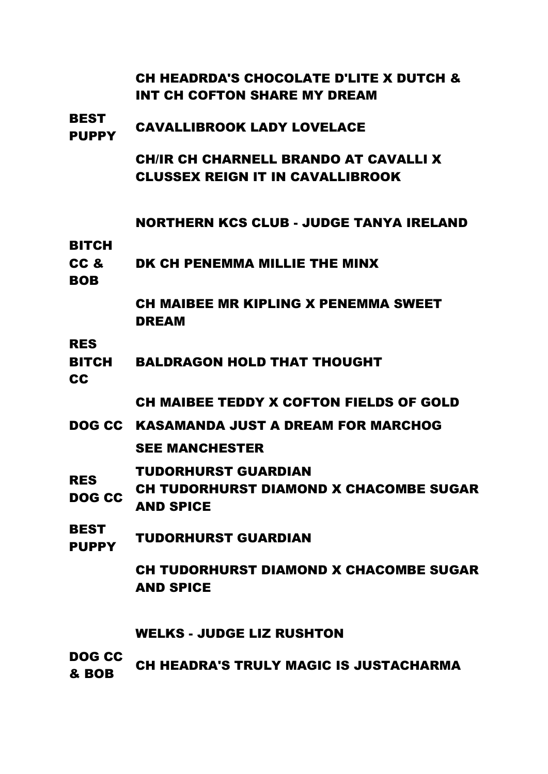|                             | CH HEADRDA'S CHOCOLATE D'LITE X DUTCH &<br>INT CH COFTON SHARE MY DREAM                |
|-----------------------------|----------------------------------------------------------------------------------------|
| <b>BEST</b><br><b>PUPPY</b> | <b>CAVALLIBROOK LADY LOVELACE</b>                                                      |
|                             | <b>CHIR CH CHARNELL BRANDO AT CAVALLI X</b><br><b>CLUSSEX REIGN IT IN CAVALLIBROOK</b> |
| <b>BITCH</b>                | NORTHERN KCS CLUB - JUDGE TANYA IRELAND                                                |
| CC &<br><b>BOB</b>          | DK CH PENEMMA MILLIE THE MINX                                                          |
|                             | <b>CH MAIBEE MR KIPLING X PENEMMA SWEET</b><br><b>DREAM</b>                            |
| <b>RES</b><br>BITCH<br>CC   | <b>BALDRAGON HOLD THAT THOUGHT</b>                                                     |
|                             | CH MAIBEE TEDDY X COFTON FIELDS OF GOLD                                                |
|                             | DOG CC KASAMANDA JUST A DREAM FOR MARCHOG                                              |
|                             | <b>SEE MANCHESTER</b>                                                                  |
| <b>RES</b><br>DOG CC        | TUDORHURST GUARDIAN<br>CH TUDORHURST DIAMOND X CHACOMBE SUGAR<br><b>AND SPICE</b>      |
| <b>BEST</b><br><b>PUPPY</b> | <b>TUDORHURST GUARDIAN</b>                                                             |
|                             | CH TUDORHURST DIAMOND X CHACOMBE SUGAR<br><b>AND SPICE</b>                             |
|                             | <b>WELKS - JUDGE LIZ RUSHTON</b>                                                       |
| DOG CC<br>& BOB             | <b>CH HEADRA'S TRULY MAGIC IS JUSTACHARMA</b>                                          |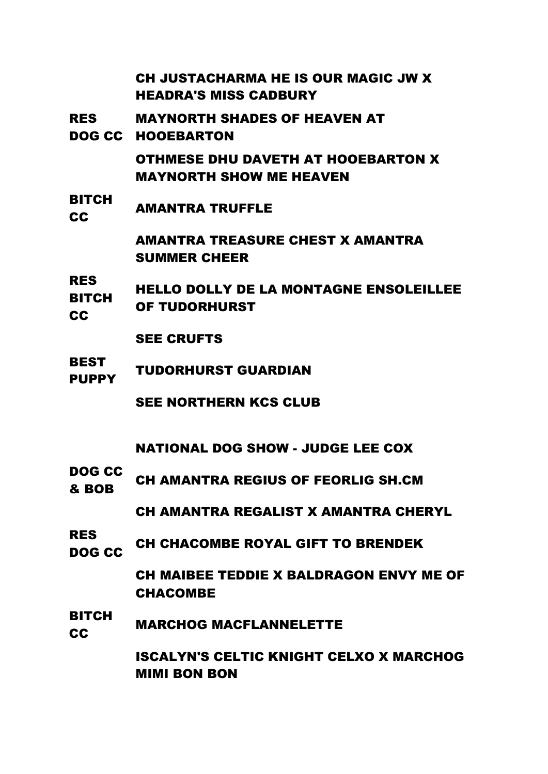| CH JUSTACHARMA HE IS OUR MAGIC JW X |
|-------------------------------------|
| <b>HEADRA'S MISS CADBURY</b>        |

- RES MAYNORTH SHADES OF HEAVEN AT
- DOG CC HOOEBARTON

OTHMESE DHU DAVETH AT HOOEBARTON X MAYNORTH SHOW ME HEAVEN

BITCH **CC** AMANTRA TRUFFLE

> AMANTRA TREASURE CHEST X AMANTRA SUMMER CHEER

RES BITCH CC HELLO DOLLY DE LA MONTAGNE ENSOLEILLEE OF TUDORHURST

- SEE CRUFTS
- BEST PUPPY TUDORHURST GUARDIAN

SEE NORTHERN KCS CLUB

NATIONAL DOG SHOW - JUDGE LEE COX

DOG CC **EDUCTLY CHAMANTRA REGIUS OF FEORLIG SH.CM** 

CH AMANTRA REGALIST X AMANTRA CHERYL

RES NOG CC CH CHACOMBE ROYAL GIFT TO BRENDEK

> CH MAIBEE TEDDIE X BALDRAGON ENVY ME OF CHACOMBE

BITCH **CC MARCHOG MACFLANNELETTE** 

> ISCALYN'S CELTIC KNIGHT CELXO X MARCHOG MIMI BON BON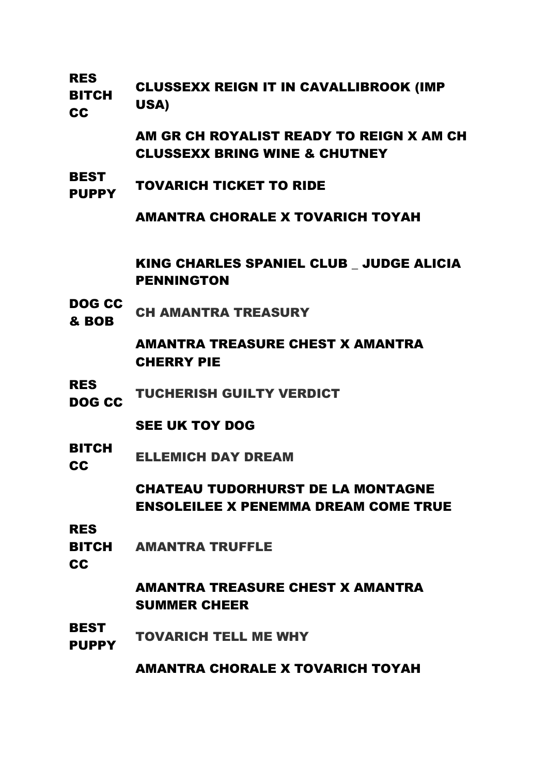RES

BITCH **CC** CLUSSEXX REIGN IT IN CAVALLIBROOK (IMP USA)

> AM GR CH ROYALIST READY TO REIGN X AM CH CLUSSEXX BRING WINE & CHUTNEY

**BEST** PUPPY TOVARICH TICKET TO RIDE

AMANTRA CHORALE X TOVARICH TOYAH

KING CHARLES SPANIEL CLUB \_ JUDGE ALICIA PENNINGTON

DOG CC **BOB** CH AMANTRA TREASURY

> AMANTRA TREASURE CHEST X AMANTRA CHERRY PIE

RES **NOG CC TUCHERISH GUILTY VERDICT** 

SEE UK TOY DOG

BITCH **CC** ELLEMICH DAY DREAM

> CHATEAU TUDORHURST DE LA MONTAGNE ENSOLEILEE X PENEMMA DREAM COME TRUE

RES

- BITCH AMANTRA TRUFFLE
- **CC**

AMANTRA TREASURE CHEST X AMANTRA SUMMER CHEER

BEST PUPPY TOVARICH TELL ME WHY

AMANTRA CHORALE X TOVARICH TOYAH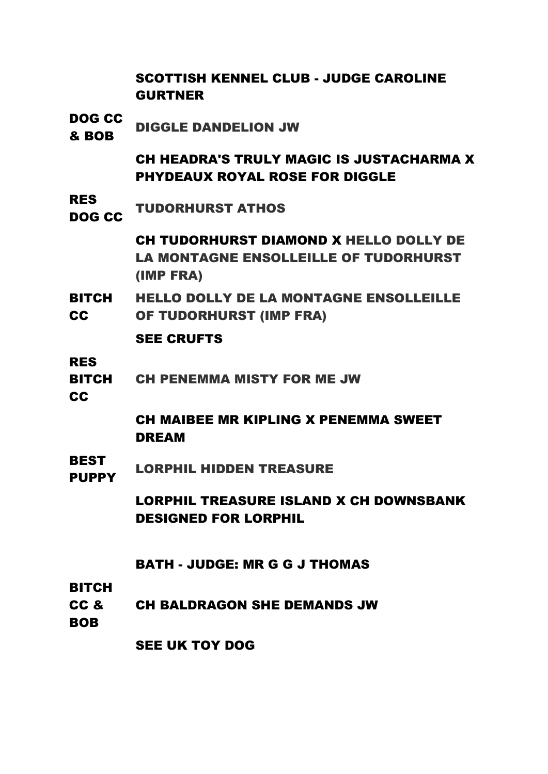|                                                   | <b>SCOTTISH KENNEL CLUB - JUDGE CAROLINE</b><br><b>GURTNER</b>                                      |
|---------------------------------------------------|-----------------------------------------------------------------------------------------------------|
| <b>DOG CC</b><br>& BOB                            | <b>DIGGLE DANDELION JW</b>                                                                          |
|                                                   | <b>CH HEADRA'S TRULY MAGIC IS JUSTACHARMA X</b><br><b>PHYDEAUX ROYAL ROSE FOR DIGGLE</b>            |
| <b>RES</b><br>DOG CC                              | <b>TUDORHURST ATHOS</b>                                                                             |
|                                                   | CH TUDORHURST DIAMOND X HELLO DOLLY DE<br><b>LA MONTAGNE ENSOLLEILLE OF TUDORHURST</b><br>(IMP FRA) |
| <b>BITCH</b><br><b>CC</b>                         | <b>HELLO DOLLY DE LA MONTAGNE ENSOLLEILLE</b><br>OF TUDORHURST (IMP FRA)                            |
|                                                   | <b>SEE CRUFTS</b>                                                                                   |
| <b>RES</b><br><b>BITCH</b><br><b>CC</b>           | <b>CH PENEMMA MISTY FOR ME JW</b>                                                                   |
|                                                   | CH MAIBEE MR KIPLING X PENEMMA SWEET<br><b>DREAM</b>                                                |
| <b>BEST</b><br><b>PUPPY</b>                       | <b>LORPHIL HIDDEN TREASURE</b>                                                                      |
|                                                   | <b>LORPHIL TREASURE ISLAND X CH DOWNSBANK</b><br><b>DESIGNED FOR LORPHIL</b>                        |
|                                                   | <b>BATH - JUDGE: MR G G J THOMAS</b>                                                                |
| <b>BITCH</b><br>CC <sub>&amp;</sub><br><b>BOB</b> | <b>CH BALDRAGON SHE DEMANDS JW</b>                                                                  |

SEE UK TOY DOG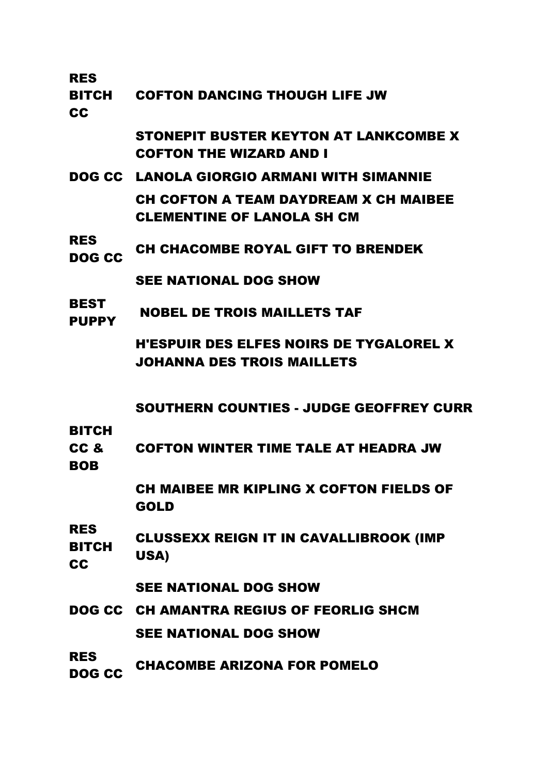RES

BITCH CC COFTON DANCING THOUGH LIFE JW

> STONEPIT BUSTER KEYTON AT LANKCOMBE X COFTON THE WIZARD AND I

- DOG CC LANOLA GIORGIO ARMANI WITH SIMANNIE CH COFTON A TEAM DAYDREAM X CH MAIBEE CLEMENTINE OF LANOLA SH CM
- RES NES CH CHACOMBE ROYAL GIFT TO BRENDEK

SEE NATIONAL DOG SHOW

**BEST** PUPPY NOBEL DE TROIS MAILLETS TAF

> H'ESPUIR DES ELFES NOIRS DE TYGALOREL X JOHANNA DES TROIS MAILLETS

SOUTHERN COUNTIES - JUDGE GEOFFREY CURR

**BITCH** 

CC & COFTON WINTER TIME TALE AT HEADRA JW

BOB

CH MAIBEE MR KIPLING X COFTON FIELDS OF GOLD

RES BITCH CC CLUSSEXX REIGN IT IN CAVALLIBROOK (IMP USA)

SEE NATIONAL DOG SHOW

- DOG CC CH AMANTRA REGIUS OF FEORLIG SHCM SEE NATIONAL DOG SHOW
- RES **DOG CC CHACOMBE ARIZONA FOR POMELO**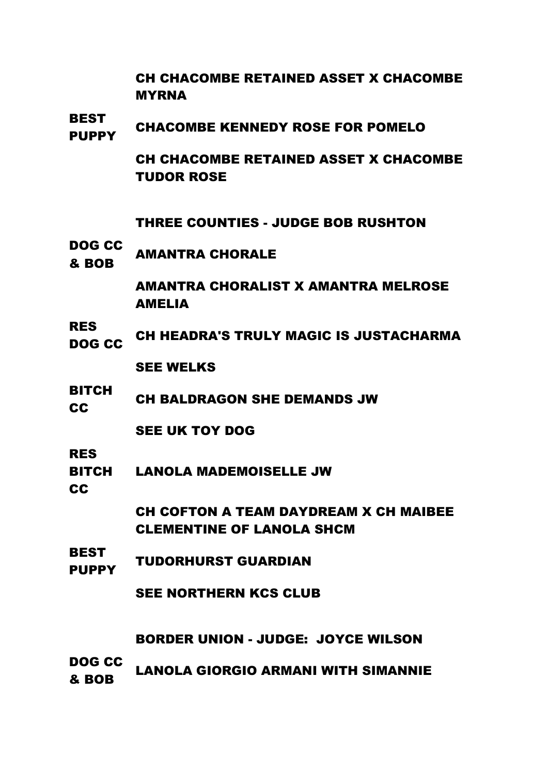CH CHACOMBE RETAINED ASSET X CHACOMBE MYRNA

BEST PUPPY CHACOMBE KENNEDY ROSE FOR POMELO

> CH CHACOMBE RETAINED ASSET X CHACOMBE TUDOR ROSE

THREE COUNTIES - JUDGE BOB RUSHTON

DOG CC **& BOB** AMANTRA CHORALE

> AMANTRA CHORALIST X AMANTRA MELROSE AMELIA

RES THE CH HEADRA'S TRULY MAGIC IS JUSTACHARMA

SEE WELKS

BITCH CH BALDRAGON SHE DEMANDS JW

SEE UK TOY DOG

RES

BITCH LANOLA MADEMOISELLE JW

CC

CH COFTON A TEAM DAYDREAM X CH MAIBEE CLEMENTINE OF LANOLA SHCM

BEST PUPPY TUDORHURST GUARDIAN

SEE NORTHERN KCS CLUB

BORDER UNION - JUDGE: JOYCE WILSON

DOG CC & BOB LANOLA GIORGIO ARMANI WITH SIMANNIE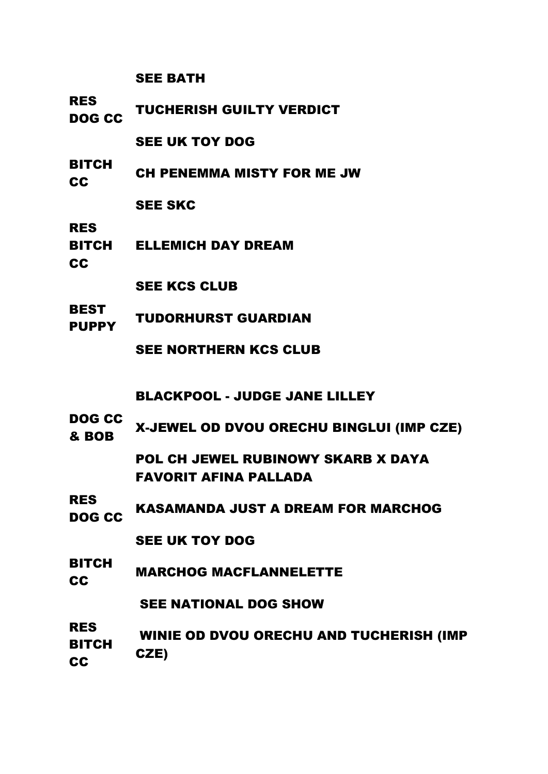SEE BATH

RES NES CC TUCHERISH GUILTY VERDICT

SEE UK TOY DOG

BITCH CH PENEMMA MISTY FOR ME JW

SEE SKC

RES

- BITCH ELLEMICH DAY DREAM
- CC

SEE KCS CLUB

**BEST** PUPPY TUDORHURST GUARDIAN

SEE NORTHERN KCS CLUB

BLACKPOOL - JUDGE JANE LILLEY

DOG CC & BOB X-JEWEL OD DVOU ORECHU BINGLUI (IMP CZE)

> POL CH JEWEL RUBINOWY SKARB X DAYA FAVORIT AFINA PALLADA

RES **NOG CC KASAMANDA JUST A DREAM FOR MARCHOG** 

SEE UK TOY DOG

BITCH **CC** MARCHOG MACFLANNELETTE

SEE NATIONAL DOG SHOW

RES BITCH **CC** WINIE OD DVOU ORECHU AND TUCHERISH (IMP CZE)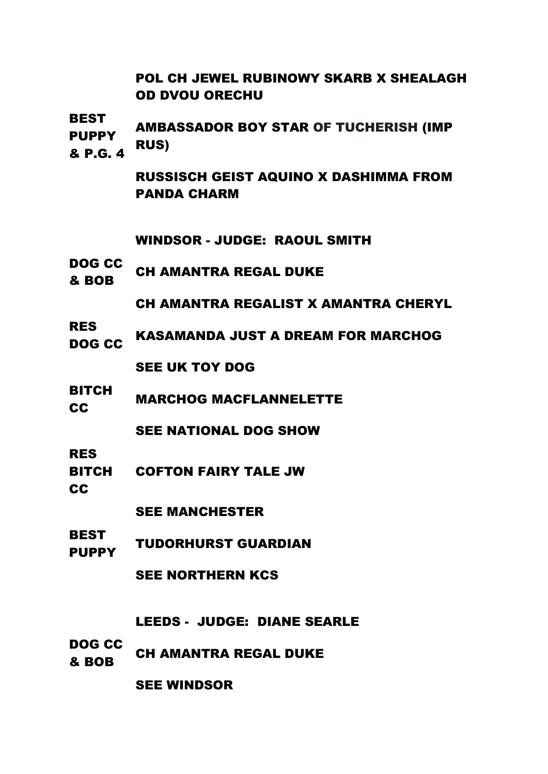# POL CH JEWEL RUBINOWY SKARB X SHEALAGH OD DVOU ORECHU

BEST

**PUPPY** & P.G. 4 AMBASSADOR BOY STAR OF TUCHERISH (IMP RUS)

> RUSSISCH GEIST AQUINO X DASHIMMA FROM PANDA CHARM

WINDSOR - JUDGE: RAOUL SMITH

DOG CC **BOB** CH AMANTRA REGAL DUKE

CH AMANTRA REGALIST X AMANTRA CHERYL

RES DOG CC KASAMANDA JUST A DREAM FOR MARCHOG

SEE UK TOY DOG

BITCH **CC** MARCHOG MACFLANNELETTE

SEE NATIONAL DOG SHOW

RES

BITCH COFTON FAIRY TALE JW

CC

SEE MANCHESTER

BEST PUPPY TUDORHURST GUARDIAN

SEE NORTHERN KCS

LEEDS - JUDGE: DIANE SEARLE

DOG CC **EVELOCE CH AMANTRA REGAL DUKE** 

SEE WINDSOR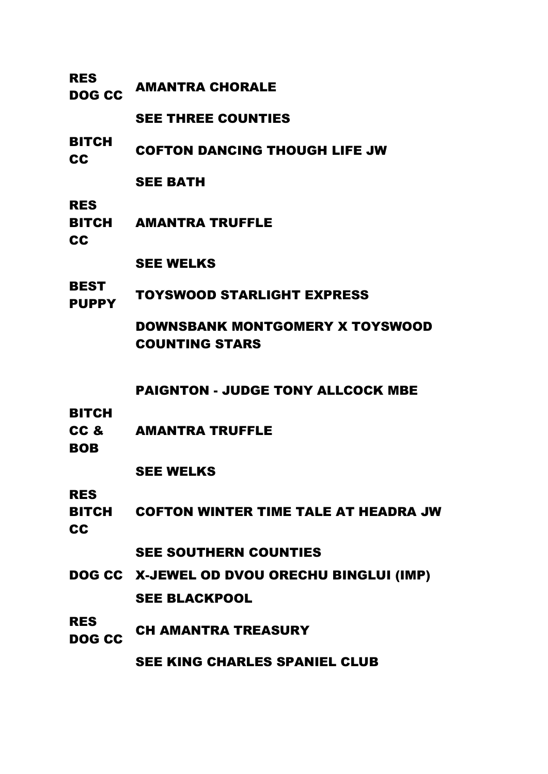| <b>RES</b><br>DOG CC               | <b>AMANTRA CHORALE</b>                                   |
|------------------------------------|----------------------------------------------------------|
|                                    | <b>SEE THREE COUNTIES</b>                                |
| <b>BITCH</b><br><b>CC</b>          | <b>COFTON DANCING THOUGH LIFE JW</b>                     |
|                                    | <b>SEE BATH</b>                                          |
| <b>RES</b><br><b>CC</b>            | <b>BITCH AMANTRA TRUFFLE</b>                             |
|                                    | <b>SEE WELKS</b>                                         |
| <b>BEST</b><br><b>PUPPY</b>        | <b>TOYSWOOD STARLIGHT EXPRESS</b>                        |
|                                    | DOWNSBANK MONTGOMERY X TOYSWOOD<br><b>COUNTING STARS</b> |
|                                    | <b>PAIGNTON - JUDGE TONY ALLCOCK MBE</b>                 |
| <b>BITCH</b><br>CC &<br><b>BOB</b> | <b>AMANTRA TRUFFLE</b>                                   |
|                                    | <b>SEE WELKS</b>                                         |
| <b>RES</b>                         |                                                          |
| <b>BITCH</b><br><b>CC</b>          | <b>COFTON WINTER TIME TALE AT HEADRA JW</b>              |
|                                    | <b>SEE SOUTHERN COUNTIES</b>                             |
|                                    | DOG CC X-JEWEL OD DVOU ORECHU BINGLUI (IMP)              |
|                                    | <b>SEE BLACKPOOL</b>                                     |
| <b>RES</b><br><b>DOG CC</b>        | <b>CH AMANTRA TREASURY</b>                               |
|                                    | <b>SEE KING CHARLES SPANIEL CLUB</b>                     |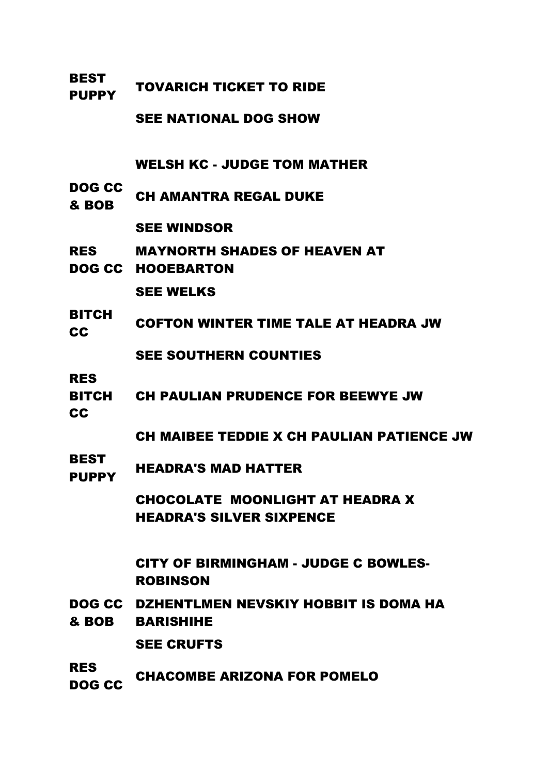| <b>BEST</b><br><b>PUPPY</b> | <b>TOVARICH TICKET TO RIDE</b>                                     |
|-----------------------------|--------------------------------------------------------------------|
|                             | <b>SEE NATIONAL DOG SHOW</b>                                       |
|                             | <b>WELSH KC - JUDGE TOM MATHER</b>                                 |
| DOG CC<br>& BOB             | <b>CH AMANTRA REGAL DUKE</b>                                       |
|                             | <b>SEE WINDSOR</b>                                                 |
| <b>RES</b>                  | <b>MAYNORTH SHADES OF HEAVEN AT</b><br><b>DOG CC HOOEBARTON</b>    |
|                             | <b>SEE WELKS</b>                                                   |
| <b>BITCH</b><br>CC          | <b>COFTON WINTER TIME TALE AT HEADRA JW</b>                        |
|                             | <b>SEE SOUTHERN COUNTIES</b>                                       |
| <b>RES</b><br>CC            | BITCH CH PAULIAN PRUDENCE FOR BEEWYE JW                            |
|                             | CH MAIBEE TEDDIE X CH PAULIAN PATIENCE JW                          |
| <b>BEST</b><br><b>PUPPY</b> | <b>HEADRA'S MAD HATTER</b>                                         |
|                             | CHOCOLATE MOONLIGHT AT HEADRA X<br><b>HEADRA'S SILVER SIXPENCE</b> |
|                             | <b>CITY OF BIRMINGHAM - JUDGE C BOWLES-</b><br><b>ROBINSON</b>     |
| & BOB                       | DOG CC DZHENTLMEN NEVSKIY HOBBIT IS DOMA HA<br><b>BARISHIHE</b>    |
|                             | <b>SEE CRUFTS</b>                                                  |
| <b>RES</b><br><b>DOG CC</b> | <b>CHACOMBE ARIZONA FOR POMELO</b>                                 |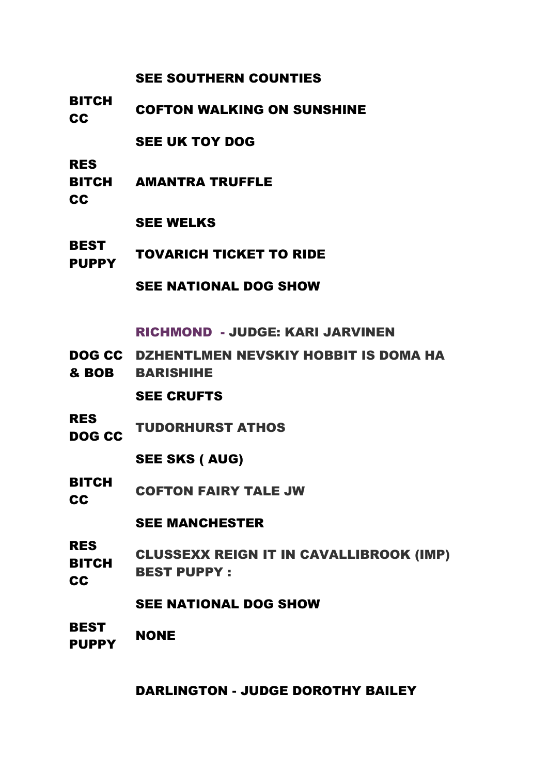## SEE SOUTHERN COUNTIES

BITCH **CC** COFTON WALKING ON SUNSHINE

SEE UK TOY DOG

RES

- **BITCH** AMANTRA TRUFFLE
- CC

SEE WELKS

BEST PUPPY TOVARICH TICKET TO RIDE

SEE NATIONAL DOG SHOW

RICHMOND - JUDGE: KARI JARVINEN

- DOG CC DZHENTLMEN NEVSKIY HOBBIT IS DOMA HA
- & BOB BARISHIHE

SEE CRUFTS

RES NES CC TUDORHURST ATHOS

SEE SKS ( AUG)

BITCH COFTON FAIRY TALE JW

SEE MANCHESTER

RES BITCH **CC** CLUSSEXX REIGN IT IN CAVALLIBROOK (IMP) BEST PUPPY :

SEE NATIONAL DOG SHOW

**BEST** PUPPY NONE

## DARLINGTON - JUDGE DOROTHY BAILEY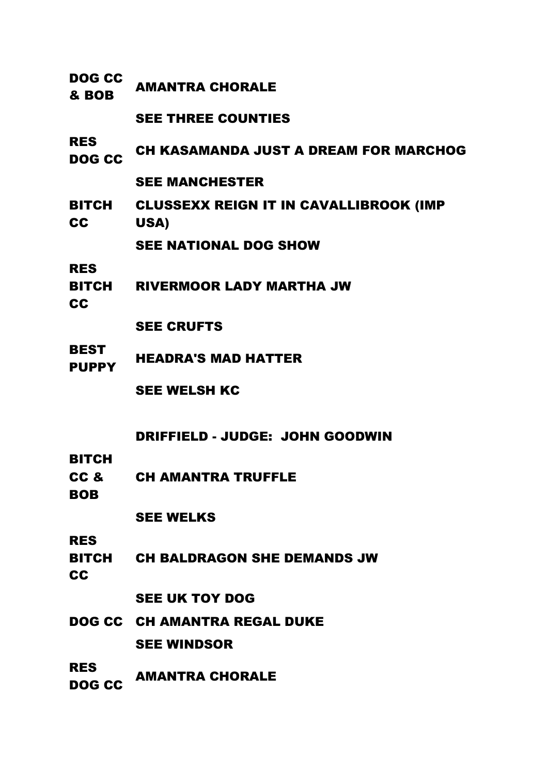| <b>DOG CC</b><br>& BOB            | <b>AMANTRA CHORALE</b>                                |
|-----------------------------------|-------------------------------------------------------|
|                                   | <b>SEE THREE COUNTIES</b>                             |
| <b>RES</b><br>DOG CC              | <b>CH KASAMANDA JUST A DREAM FOR MARCHOG</b>          |
|                                   | <b>SEE MANCHESTER</b>                                 |
| BITCH<br><b>CC</b>                | <b>CLUSSEXX REIGN IT IN CAVALLIBROOK (IMP</b><br>USA) |
|                                   | <b>SEE NATIONAL DOG SHOW</b>                          |
| <b>RES</b><br>cc                  | BITCH RIVERMOOR LADY MARTHA JW                        |
|                                   | <b>SEE CRUFTS</b>                                     |
| <b>BEST</b><br><b>PUPPY</b>       | <b>HEADRA'S MAD HATTER</b>                            |
|                                   | <b>SEE WELSH KC</b>                                   |
| <b>BITCH</b>                      | DRIFFIELD - JUDGE: JOHN GOODWIN                       |
| CC <sub>&amp;</sub><br><b>BOB</b> | <b>CH AMANTRA TRUFFLE</b>                             |
|                                   | <b>SEE WELKS</b>                                      |
| <b>RES</b><br><b>CC</b>           | <b>BITCH CH BALDRAGON SHE DEMANDS JW</b>              |
|                                   | <b>SEE UK TOY DOG</b>                                 |
|                                   | <b>DOG CC CH AMANTRA REGAL DUKE</b>                   |
|                                   | <b>SEE WINDSOR</b>                                    |
| <b>RES</b><br><b>DOG CC</b>       | <b>AMANTRA CHORALE</b>                                |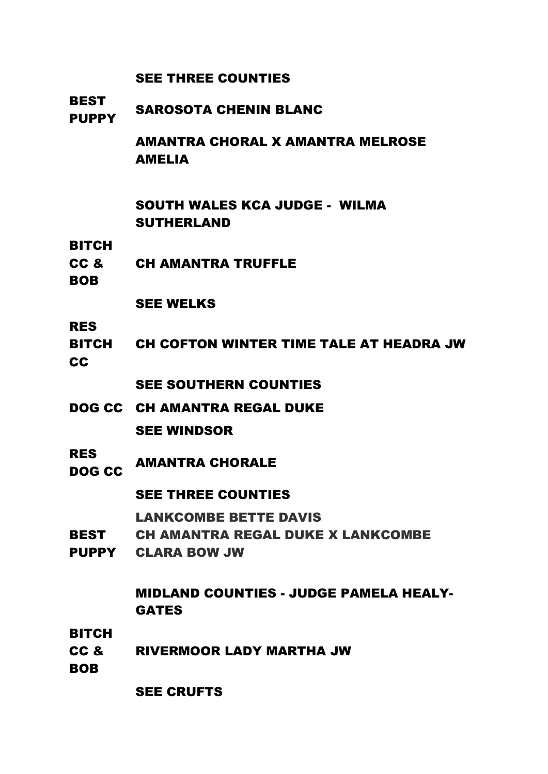|                                                   | <b>SEE THREE COUNTIES</b>                                             |
|---------------------------------------------------|-----------------------------------------------------------------------|
| <b>BEST</b><br><b>PUPPY</b>                       | <b>SAROSOTA CHENIN BLANC</b>                                          |
|                                                   | <b>AMANTRA CHORAL X AMANTRA MELROSE</b><br><b>AMELIA</b>              |
|                                                   | <b>SOUTH WALES KCA JUDGE - WILMA</b><br><b>SUTHERLAND</b>             |
| <b>BITCH</b><br>CC &<br><b>BOB</b>                | <b>CH AMANTRA TRUFFLE</b>                                             |
|                                                   | <b>SEE WELKS</b>                                                      |
| <b>RES</b><br><b>CC</b>                           | BITCH CH COFTON WINTER TIME TALE AT HEADRA JW                         |
|                                                   | <b>SEE SOUTHERN COUNTIES</b>                                          |
|                                                   | <b>DOG CC CH AMANTRA REGAL DUKE</b>                                   |
|                                                   | <b>SEE WINDSOR</b>                                                    |
| <b>RES</b><br>DOG CC                              | <b>AMANTRA CHORALE</b>                                                |
|                                                   | <b>SEE THREE COUNTIES</b>                                             |
|                                                   | <b>LANKCOMBE BETTE DAVIS</b>                                          |
| <b>BEST</b>                                       | <b>CH AMANTRA REGAL DUKE X LANKCOMBE</b><br><b>PUPPY CLARA BOW JW</b> |
|                                                   | <b>MIDLAND COUNTIES - JUDGE PAMELA HEALY-</b><br><b>GATES</b>         |
| <b>BITCH</b><br>CC <sub>&amp;</sub><br><b>BOB</b> | <b>RIVERMOOR LADY MARTHA JW</b>                                       |
|                                                   | <b>SEE CRUFTS</b>                                                     |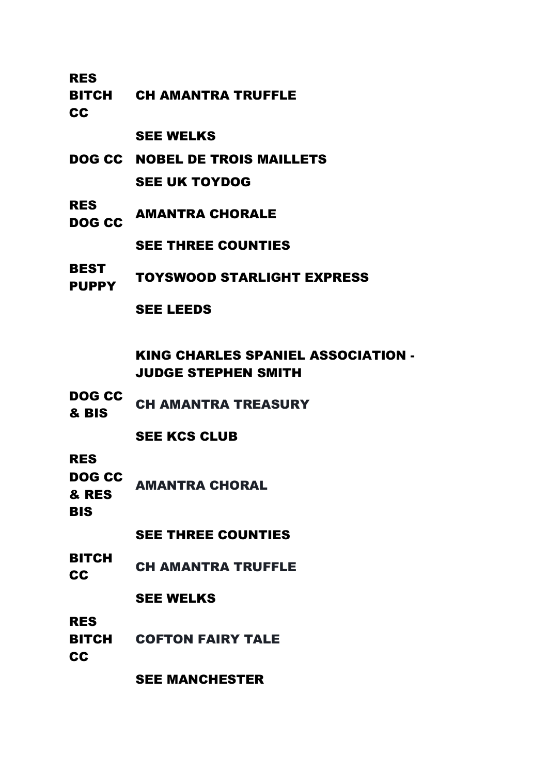RES

BITCH CH AMANTRA TRUFFLE

**CC** 

#### SEE WELKS

- DOG CC NOBEL DE TROIS MAILLETS SEE UK TOYDOG
- RES DOG CC AMANTRA CHORALE

SEE THREE COUNTIES

BEST PUPPY TOYSWOOD STARLIGHT EXPRESS

### SEE LEEDS

KING CHARLES SPANIEL ASSOCIATION - JUDGE STEPHEN SMITH

DOG CC **& BIS** CH AMANTRA TREASURY

## SEE KCS CLUB

RES

DOG CC & RES AMANTRA CHORAL

**BIS** 

### SEE THREE COUNTIES

BITCH CH AMANTRA TRUFFLE

### SEE WELKS

RES

BITCH COFTON FAIRY TALE

**CC** 

SEE MANCHESTER